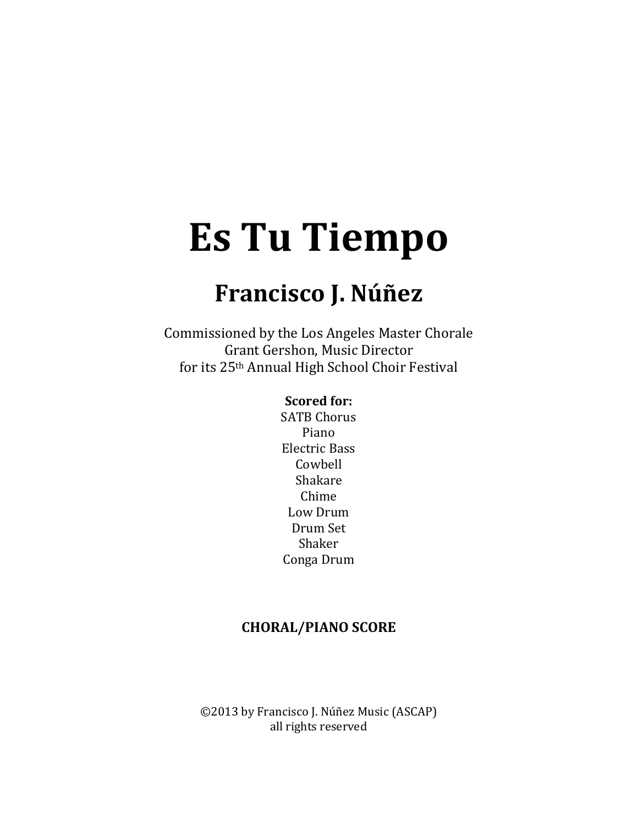# **Es Tu Tiempo**

# **Francisco J. Núñez**

Commissioned by the Los Angeles Master Chorale Grant Gershon, Music Director for its 25th Annual High School Choir Festival

### **Scored for:**

SATB Chorus Piano Electric Bass Cowbell Shakare Chime Low Drum Drum Set Shaker Conga Drum

# **CHORAL/PIANO SCORE**

©2013 by Francisco J. Núñez Music (ASCAP) all rights reserved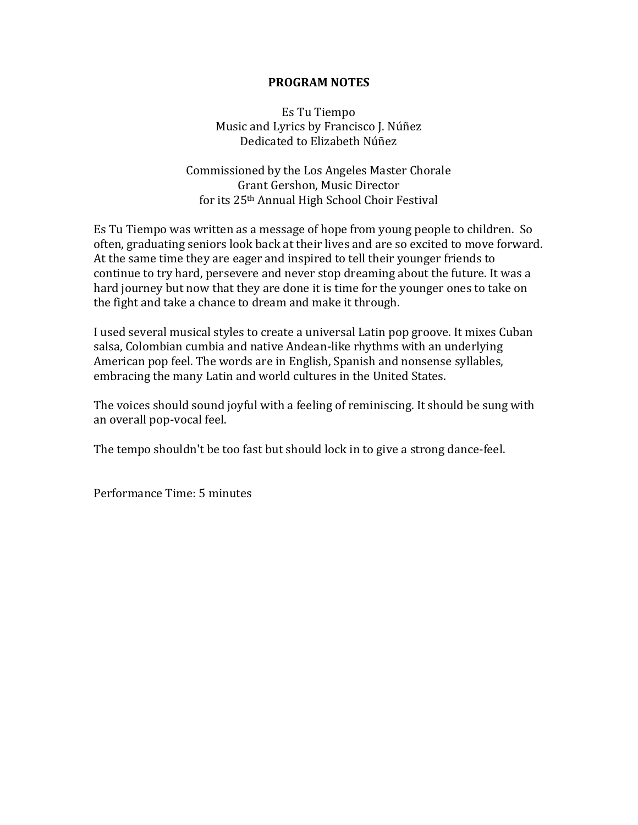#### **PROGRAM NOTES**

Es Tu Tiempo Music and Lyrics by Francisco J. Núñez Dedicated to Elizabeth Núñez

Commissioned by the Los Angeles Master Chorale Grant Gershon, Music Director for its 25th Annual High School Choir Festival

Es Tu Tiempo was written as a message of hope from young people to children. So often, graduating seniors look back at their lives and are so excited to move forward. At the same time they are eager and inspired to tell their younger friends to continue to try hard, persevere and never stop dreaming about the future. It was a hard journey but now that they are done it is time for the younger ones to take on the fight and take a chance to dream and make it through.

I used several musical styles to create a universal Latin pop groove. It mixes Cuban salsa, Colombian cumbia and native Andean-like rhythms with an underlying American pop feel. The words are in English, Spanish and nonsense syllables, embracing the many Latin and world cultures in the United States.

The voices should sound joyful with a feeling of reminiscing. It should be sung with an overall pop-vocal feel.

The tempo shouldn't be too fast but should lock in to give a strong dance-feel.

Performance Time: 5 minutes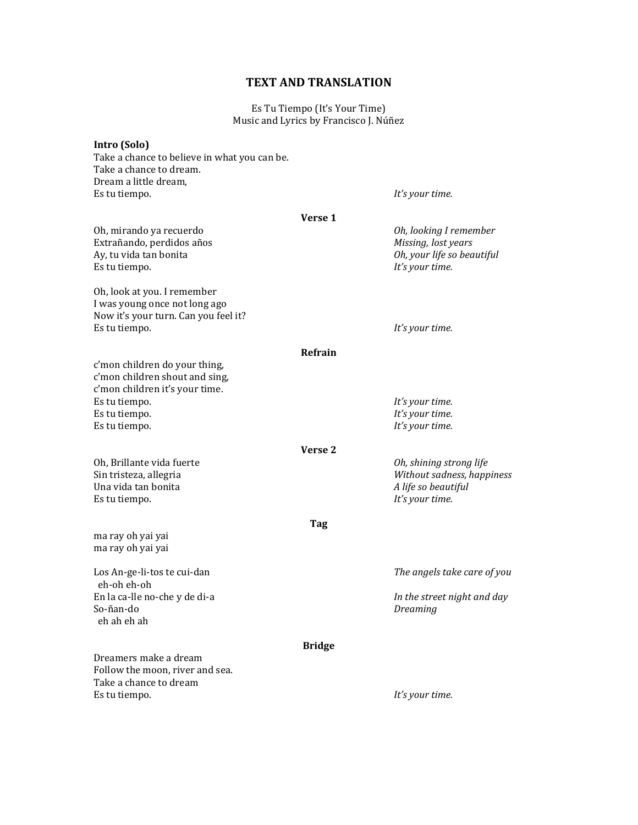## **TEXT AND TRANSLATION**

#### Es Tu Tiempo (It's Your Time) Music and Lyrics by Francisco J. Núñez

**Intro (Solo)** Take a chance to believe in what you can be. Take a chance to dream.

Dream a little dream, Es tu tiempo. *It's your time.*

|                                                                                                                                                      | Verse 1            |                                                                                                 |
|------------------------------------------------------------------------------------------------------------------------------------------------------|--------------------|-------------------------------------------------------------------------------------------------|
| Oh, mirando ya recuerdo<br>Extrañando, perdidos años<br>Ay, tu vida tan bonita<br>Es tu tiempo.                                                      |                    | Oh, looking I remember<br>Missing, lost years<br>Oh, your life so beautiful<br>It's your time.  |
| Oh, look at you. I remember<br>I was young once not long ago<br>Now it's your turn. Can you feel it?<br>Es tu tiempo.                                |                    | It's your time.                                                                                 |
| c'mon children do your thing,<br>c'mon children shout and sing,<br>c'mon children it's your time.<br>Es tu tiempo.<br>Es tu tiempo.<br>Es tu tiempo. | <b>Refrain</b>     | It's your time.<br>It's your time.<br>It's your time.                                           |
| Oh, Brillante vida fuerte<br>Sin tristeza, allegria<br>Una vida tan bonita<br>Es tu tiempo.                                                          | Verse <sub>2</sub> | Oh, shining strong life<br>Without sadness, happiness<br>A life so beautiful<br>It's your time. |
| ma ray oh yai yai<br>ma ray oh yai yai                                                                                                               | Tag                |                                                                                                 |
| Los An-ge-li-tos te cui-dan<br>eh-oh eh-oh<br>En la ca-lle no-che y de di-a<br>So-ñan-do<br>eh ah eh ah                                              |                    | The angels take care of you<br>In the street night and day<br>Dreaming                          |
|                                                                                                                                                      | <b>Bridge</b>      |                                                                                                 |
| Dreamers make a dream<br>Follow the moon, river and sea.<br>Take a chance to dream<br>Es tu tiempo.                                                  |                    | It's your time.                                                                                 |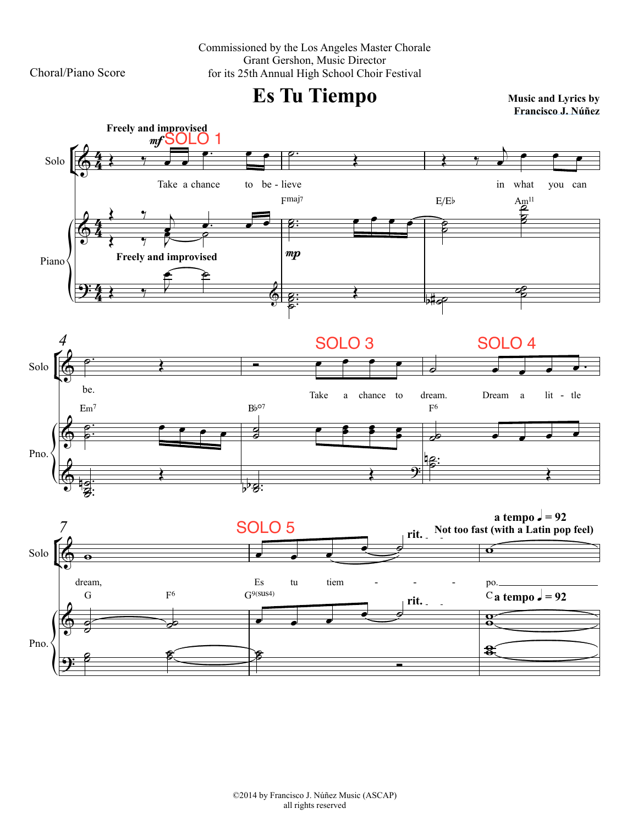Choral/Piano Score

Commissioned by the Los Angeles Master Chorale Grant Gershon, Music Director for its 25th Annual High School Choir Festival



**Music and Lyrics by Francisco J. Núñez**

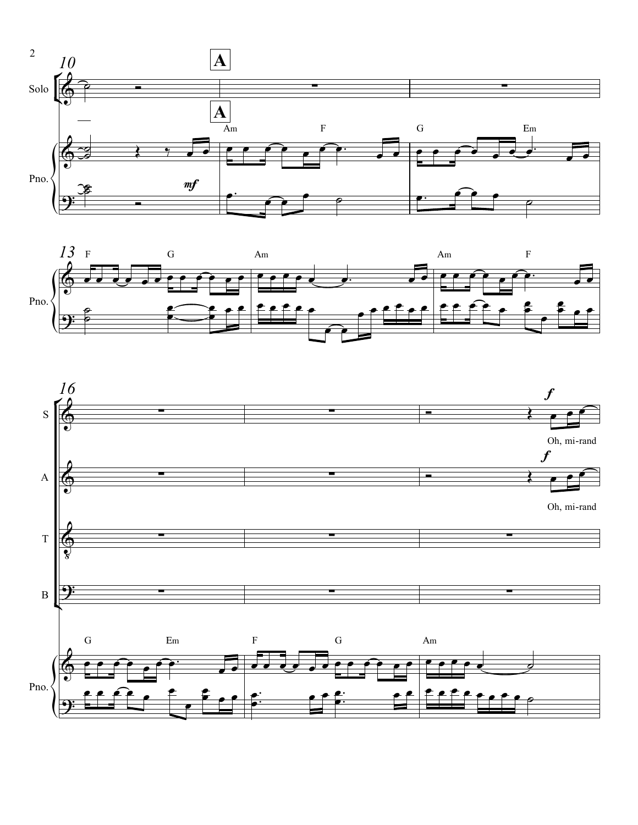



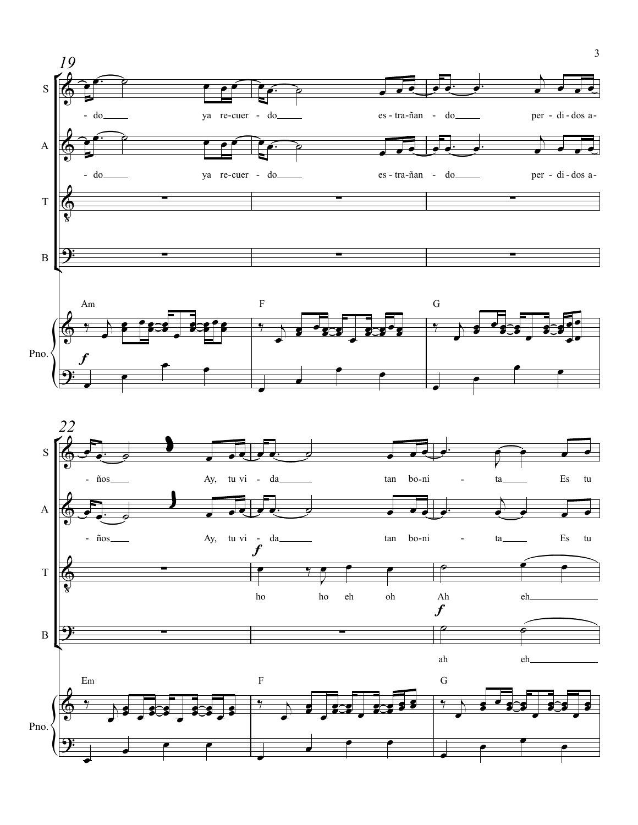

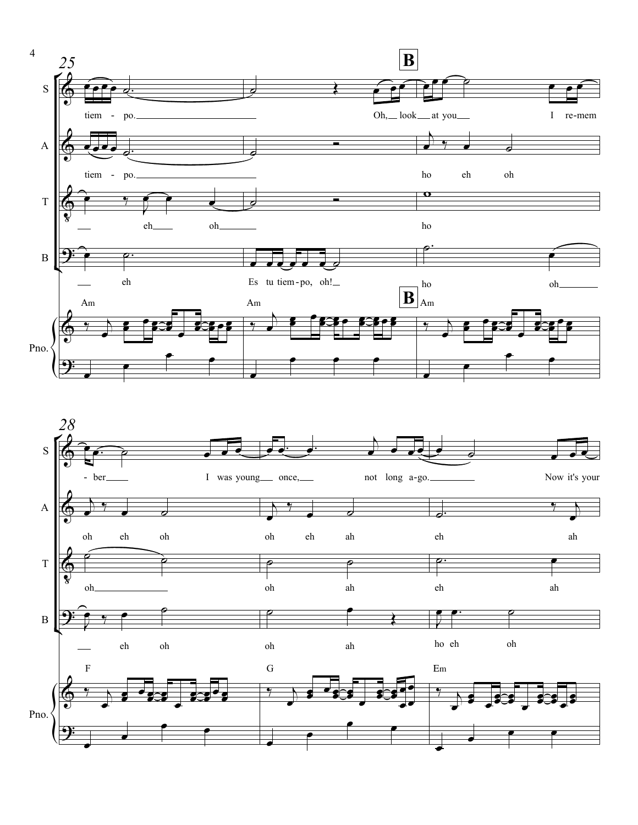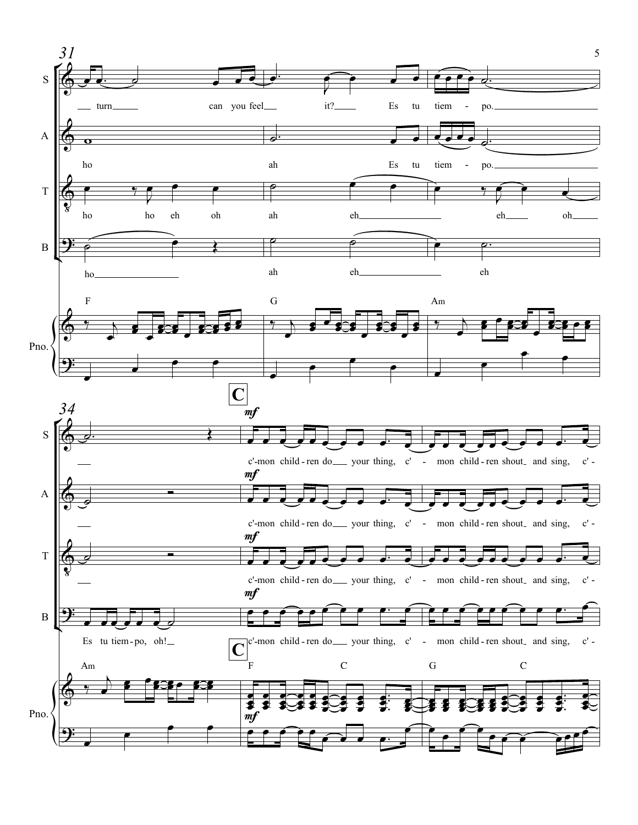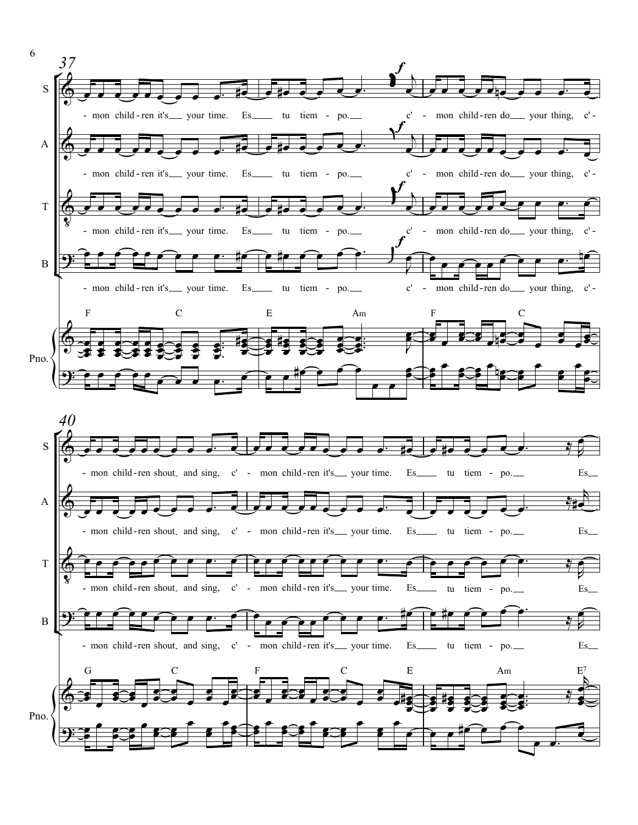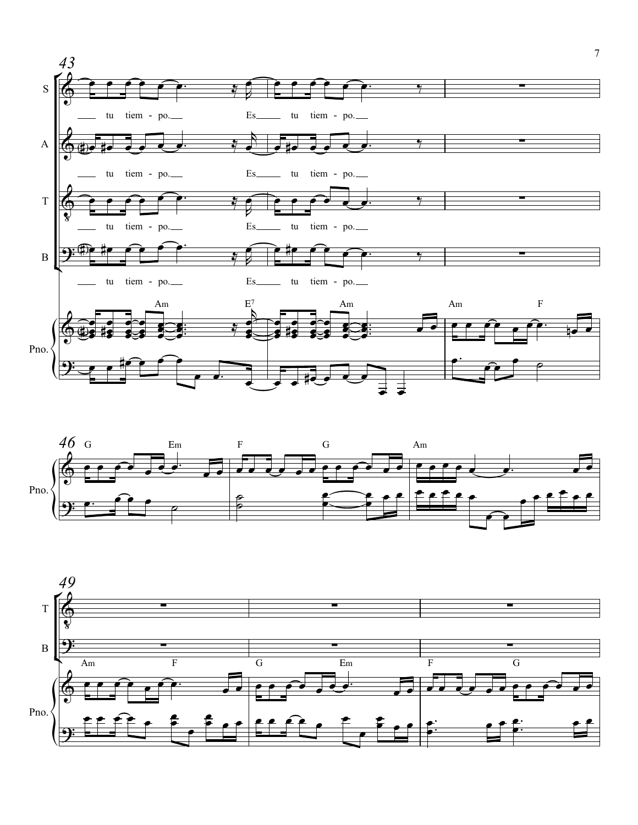



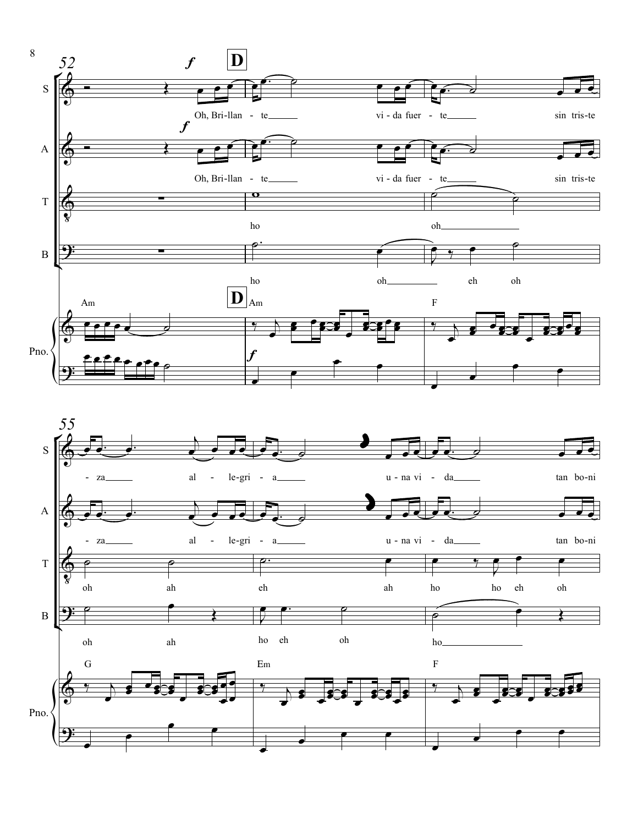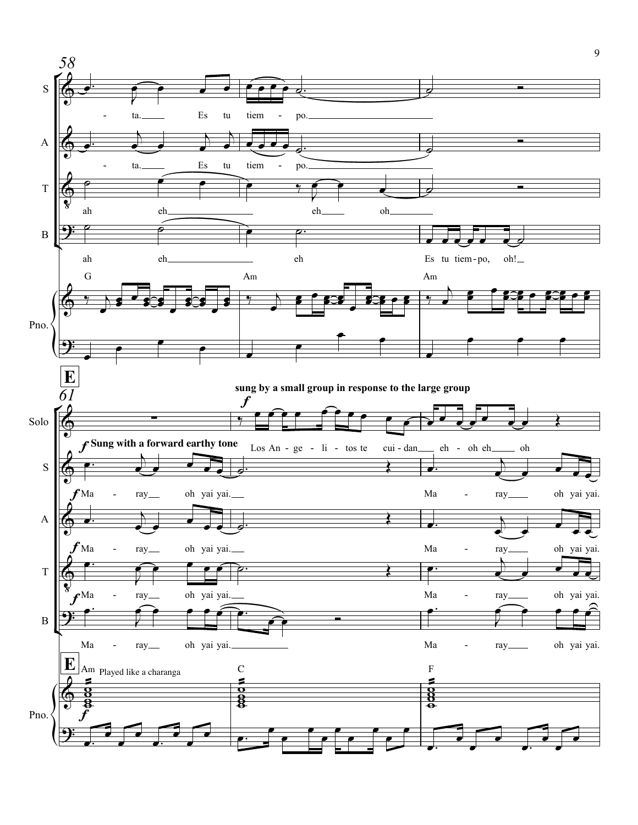

9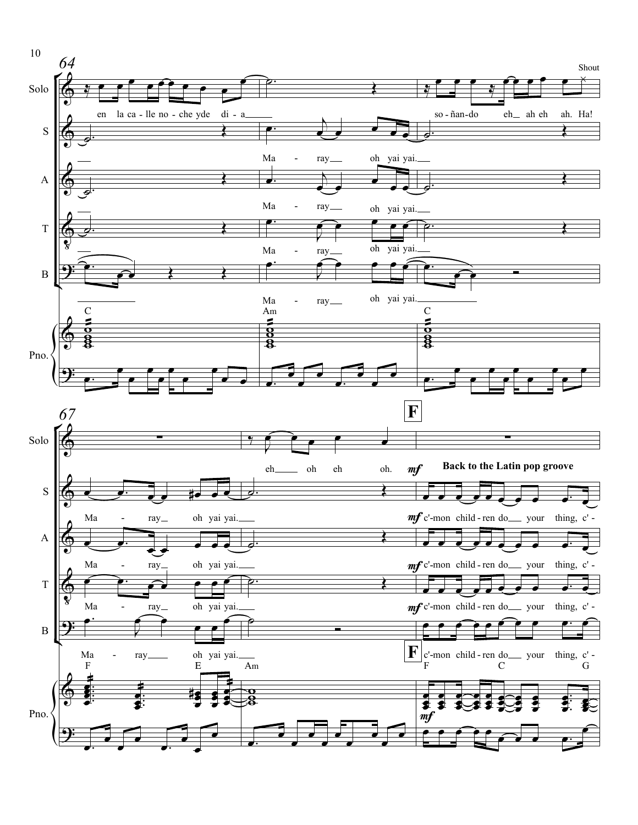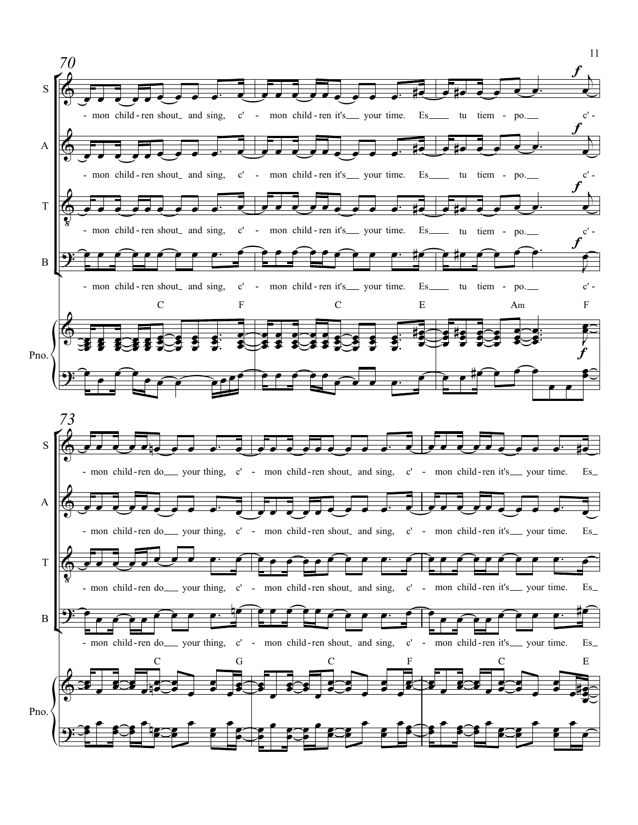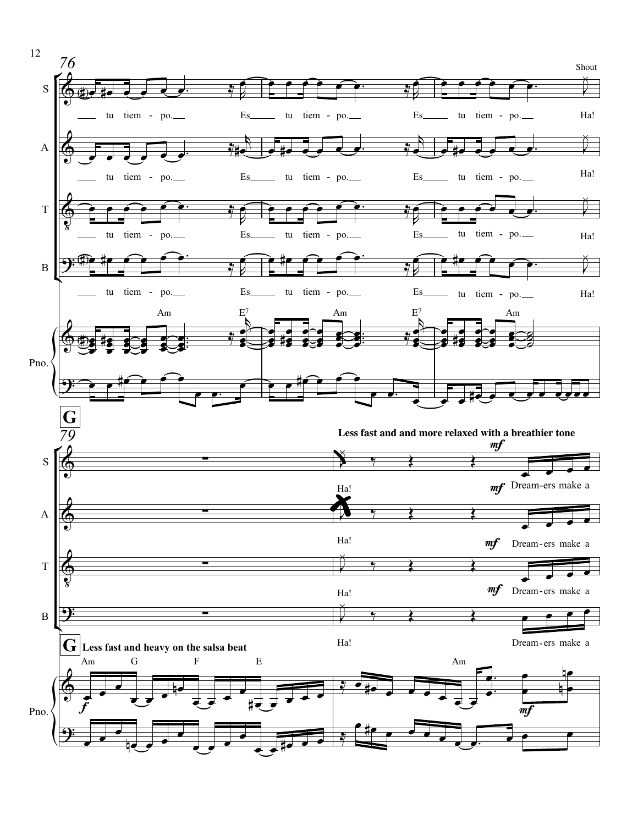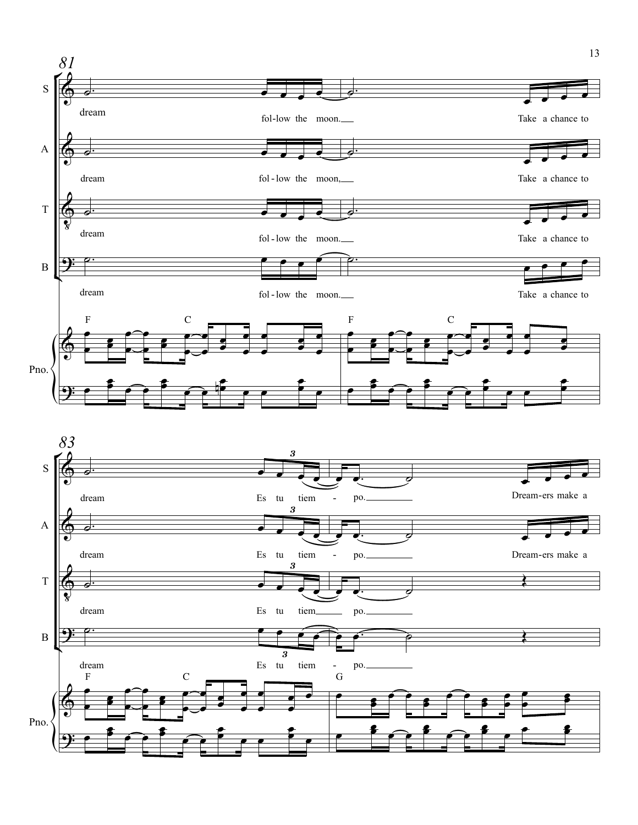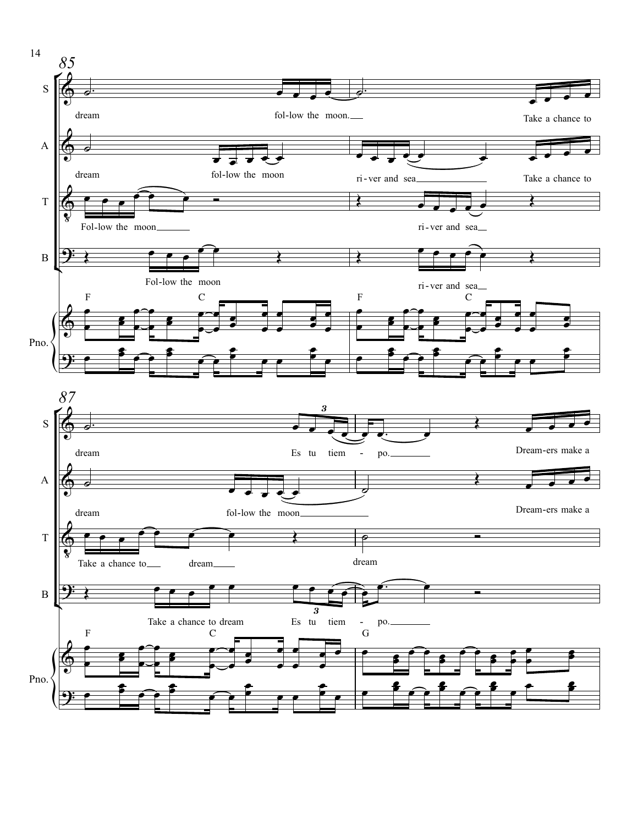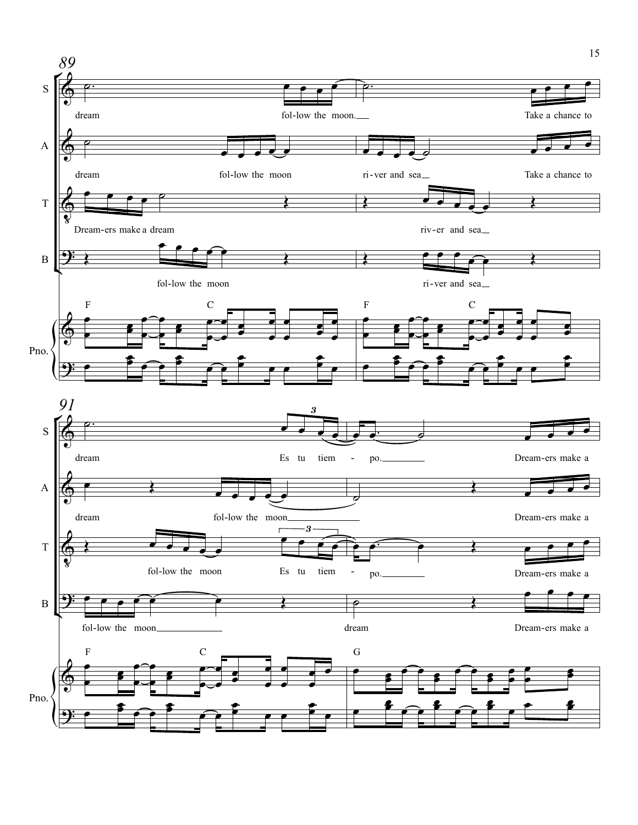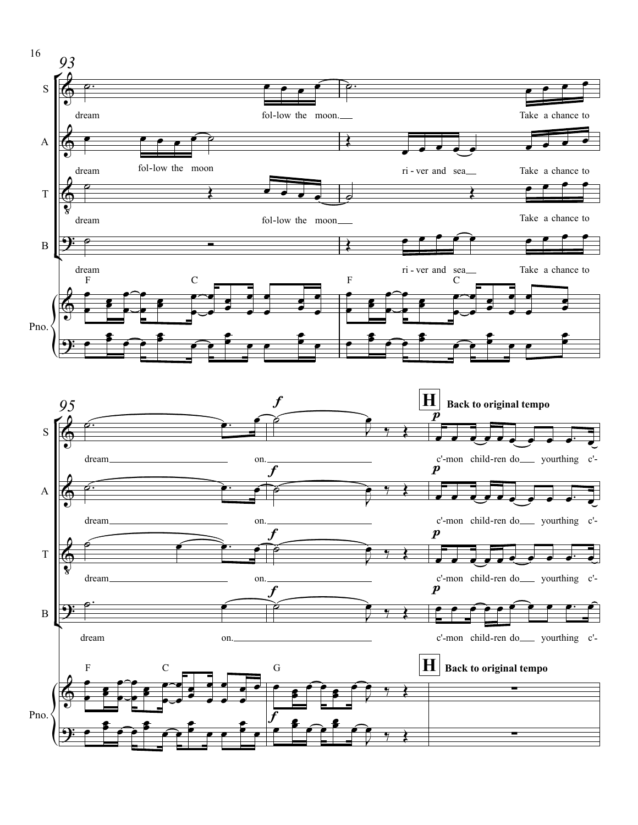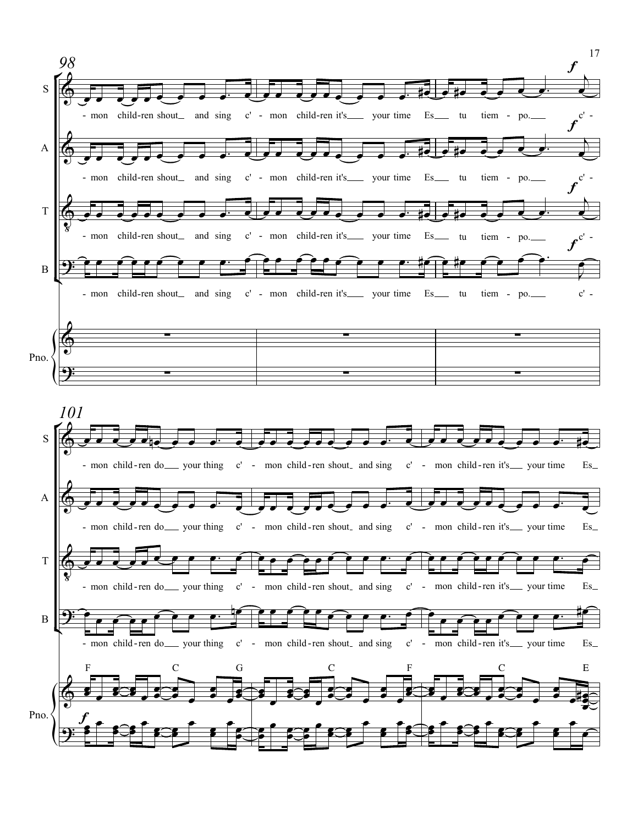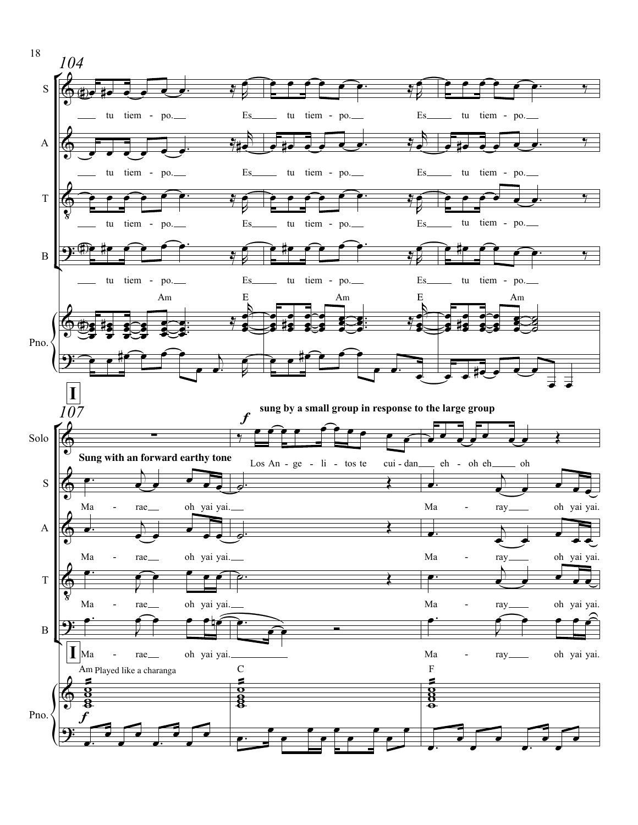